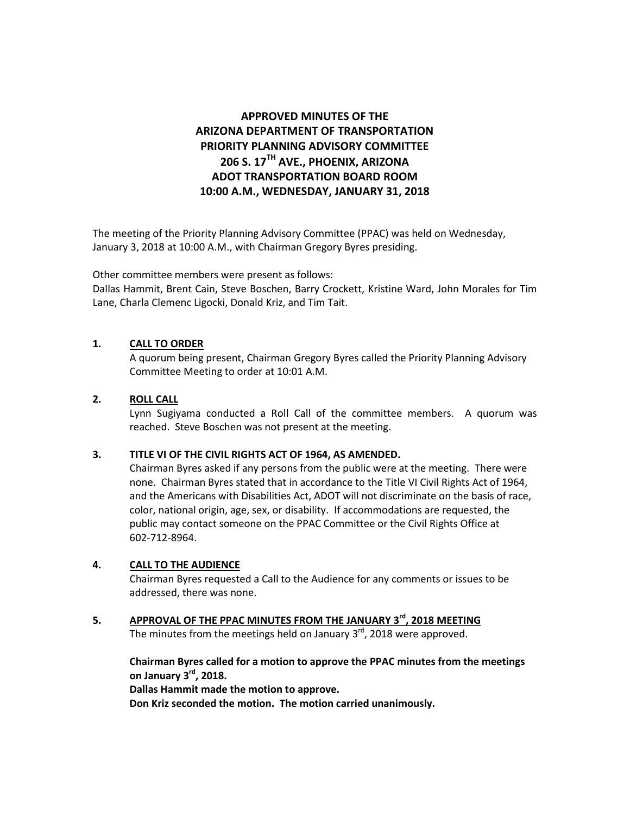# **APPROVED MINUTES OF THE ARIZONA DEPARTMENT OF TRANSPORTATION PRIORITY PLANNING ADVISORY COMMITTEE 206 S. 17TH AVE., PHOENIX, ARIZONA ADOT TRANSPORTATION BOARD ROOM 10:00 A.M., WEDNESDAY, JANUARY 31, 2018**

The meeting of the Priority Planning Advisory Committee (PPAC) was held on Wednesday, January 3, 2018 at 10:00 A.M., with Chairman Gregory Byres presiding.

Other committee members were present as follows:

Dallas Hammit, Brent Cain, Steve Boschen, Barry Crockett, Kristine Ward, John Morales for Tim Lane, Charla Clemenc Ligocki, Donald Kriz, and Tim Tait.

# **1. CALL TO ORDER**

A quorum being present, Chairman Gregory Byres called the Priority Planning Advisory Committee Meeting to order at 10:01 A.M.

# **2. ROLL CALL**

Lynn Sugiyama conducted a Roll Call of the committee members. A quorum was reached. Steve Boschen was not present at the meeting.

# **3. TITLE VI OF THE CIVIL RIGHTS ACT OF 1964, AS AMENDED.**

Chairman Byres asked if any persons from the public were at the meeting. There were none. Chairman Byres stated that in accordance to the Title VI Civil Rights Act of 1964, and the Americans with Disabilities Act, ADOT will not discriminate on the basis of race, color, national origin, age, sex, or disability. If accommodations are requested, the public may contact someone on the PPAC Committee or the Civil Rights Office at 602-712-8964.

# **4. CALL TO THE AUDIENCE**

Chairman Byres requested a Call to the Audience for any comments or issues to be addressed, there was none.

**5. APPROVAL OF THE PPAC MINUTES FROM THE JANUARY 3rd, 2018 MEETING** The minutes from the meetings held on January 3 $^{\text{rd}}$ , 2018 were approved.

**Chairman Byres called for a motion to approve the PPAC minutes from the meetings on January 3rd, 2018. Dallas Hammit made the motion to approve. Don Kriz seconded the motion. The motion carried unanimously.**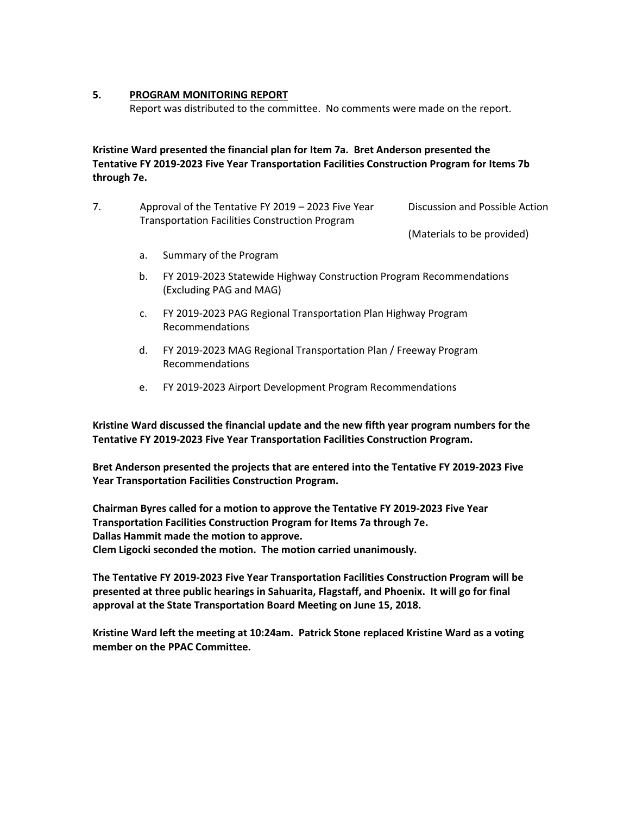## **5. PROGRAM MONITORING REPORT**

Report was distributed to the committee. No comments were made on the report.

# **Kristine Ward presented the financial plan for Item 7a. Bret Anderson presented the Tentative FY 2019-2023 Five Year Transportation Facilities Construction Program for Items 7b through 7e.**

7. Approval of the Tentative FY 2019 – 2023 Five Year Transportation Facilities Construction Program Discussion and Possible Action

(Materials to be provided)

- a. Summary of the Program
- b. FY 2019-2023 Statewide Highway Construction Program Recommendations (Excluding PAG and MAG)
- c. FY 2019-2023 PAG Regional Transportation Plan Highway Program Recommendations
- d. FY 2019-2023 MAG Regional Transportation Plan / Freeway Program Recommendations
- e. FY 2019-2023 Airport Development Program Recommendations

**Kristine Ward discussed the financial update and the new fifth year program numbers for the Tentative FY 2019-2023 Five Year Transportation Facilities Construction Program.** 

**Bret Anderson presented the projects that are entered into the Tentative FY 2019-2023 Five Year Transportation Facilities Construction Program.** 

**Chairman Byres called for a motion to approve the Tentative FY 2019-2023 Five Year Transportation Facilities Construction Program for Items 7a through 7e. Dallas Hammit made the motion to approve. Clem Ligocki seconded the motion. The motion carried unanimously.** 

**The Tentative FY 2019-2023 Five Year Transportation Facilities Construction Program will be presented at three public hearings in Sahuarita, Flagstaff, and Phoenix. It will go for final approval at the State Transportation Board Meeting on June 15, 2018.** 

**Kristine Ward left the meeting at 10:24am. Patrick Stone replaced Kristine Ward as a voting member on the PPAC Committee.**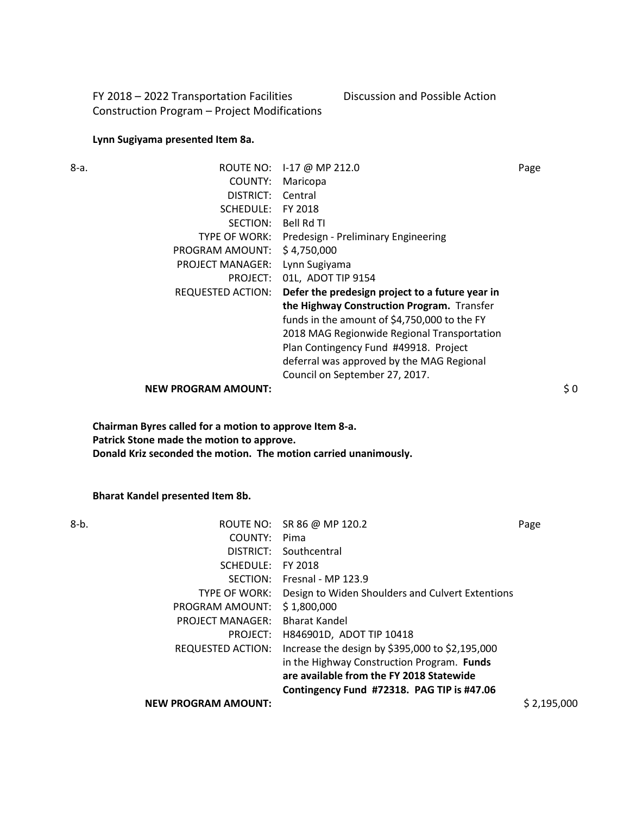FY 2018 – 2022 Transportation Facilities Construction Program – Project Modifications Discussion and Possible Action

## **Lynn Sugiyama presented Item 8a.**

| 8-a. | ROUTE NO:                  | I-17 @ MP 212.0                                 | Page |
|------|----------------------------|-------------------------------------------------|------|
|      | COUNTY:                    | Maricopa                                        |      |
|      | DISTRICT:                  | Central                                         |      |
|      | SCHEDULE:                  | FY 2018                                         |      |
|      | SECTION:                   | Bell Rd TI                                      |      |
|      | TYPE OF WORK:              | Predesign - Preliminary Engineering             |      |
|      | PROGRAM AMOUNT:            | \$4,750,000                                     |      |
|      | <b>PROJECT MANAGER:</b>    | Lynn Sugiyama                                   |      |
|      | PROJECT:                   | 01L, ADOT TIP 9154                              |      |
|      | <b>REQUESTED ACTION:</b>   | Defer the predesign project to a future year in |      |
|      |                            | the Highway Construction Program. Transfer      |      |
|      |                            | funds in the amount of \$4,750,000 to the FY    |      |
|      |                            | 2018 MAG Regionwide Regional Transportation     |      |
|      |                            | Plan Contingency Fund #49918. Project           |      |
|      |                            | deferral was approved by the MAG Regional       |      |
|      |                            | Council on September 27, 2017.                  |      |
|      | <b>NEW PROGRAM AMOUNT:</b> |                                                 | \$0  |
|      |                            |                                                 |      |

**Chairman Byres called for a motion to approve Item 8-a. Patrick Stone made the motion to approve. Donald Kriz seconded the motion. The motion carried unanimously.** 

**Bharat Kandel presented Item 8b.** 

| 8-b. |                            | ROUTE NO: SR 86 @ MP 120.2                       | Page        |
|------|----------------------------|--------------------------------------------------|-------------|
|      | COUNTY:                    | Pima                                             |             |
|      | DISTRICT:                  | Southcentral                                     |             |
|      | SCHEDULE:                  | FY 2018                                          |             |
|      | SECTION:                   | Fresnal - MP 123.9                               |             |
|      | TYPE OF WORK:              | Design to Widen Shoulders and Culvert Extentions |             |
|      | PROGRAM AMOUNT:            | \$1,800,000                                      |             |
|      | <b>PROJECT MANAGER:</b>    | <b>Bharat Kandel</b>                             |             |
|      | PROJECT:                   | H846901D, ADOT TIP 10418                         |             |
|      | <b>REQUESTED ACTION:</b>   | Increase the design by \$395,000 to \$2,195,000  |             |
|      |                            | in the Highway Construction Program. Funds       |             |
|      |                            | are available from the FY 2018 Statewide         |             |
|      |                            | Contingency Fund #72318. PAG TIP is #47.06       |             |
|      | <b>NEW PROGRAM AMOUNT:</b> |                                                  | \$2,195,000 |
|      |                            |                                                  |             |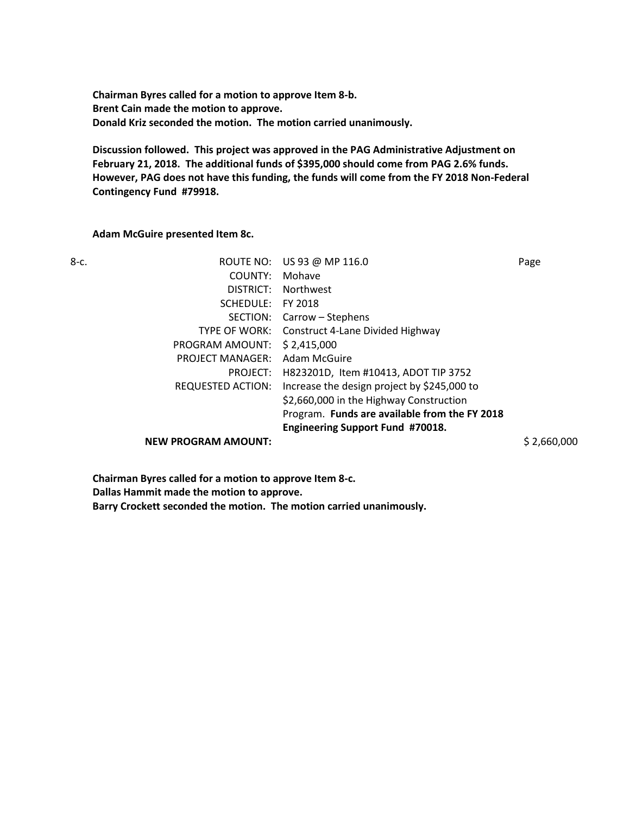**Chairman Byres called for a motion to approve Item 8-b. Brent Cain made the motion to approve. Donald Kriz seconded the motion. The motion carried unanimously.** 

**Discussion followed. This project was approved in the PAG Administrative Adjustment on February 21, 2018. The additional funds of \$395,000 should come from PAG 2.6% funds. However, PAG does not have this funding, the funds will come from the FY 2018 Non-Federal Contingency Fund #79918.** 

### **Adam McGuire presented Item 8c.**

|                   | e v        |
|-------------------|------------|
| I<br>×<br>۰,<br>× | I<br>×<br> |

| 8-с. |                            | ROUTE NO: US 93 @ MP 116.0                    | Page        |
|------|----------------------------|-----------------------------------------------|-------------|
|      | COUNTY:                    | Mohave                                        |             |
|      | DISTRICT:                  | <b>Northwest</b>                              |             |
|      | SCHEDULE:                  | FY 2018                                       |             |
|      | SECTION:                   | Carrow – Stephens                             |             |
|      | <b>TYPE OF WORK:</b>       | Construct 4-Lane Divided Highway              |             |
|      | PROGRAM AMOUNT:            | \$2,415,000                                   |             |
|      | <b>PROJECT MANAGER:</b>    | Adam McGuire                                  |             |
|      | PROJECT:                   | H823201D, Item #10413, ADOT TIP 3752          |             |
|      | REQUESTED ACTION:          | Increase the design project by \$245,000 to   |             |
|      |                            | \$2,660,000 in the Highway Construction       |             |
|      |                            | Program. Funds are available from the FY 2018 |             |
|      |                            | Engineering Support Fund #70018.              |             |
|      | <b>NEW PROGRAM AMOUNT:</b> |                                               | \$2,660,000 |

**Chairman Byres called for a motion to approve Item 8-c. Dallas Hammit made the motion to approve. Barry Crockett seconded the motion. The motion carried unanimously.**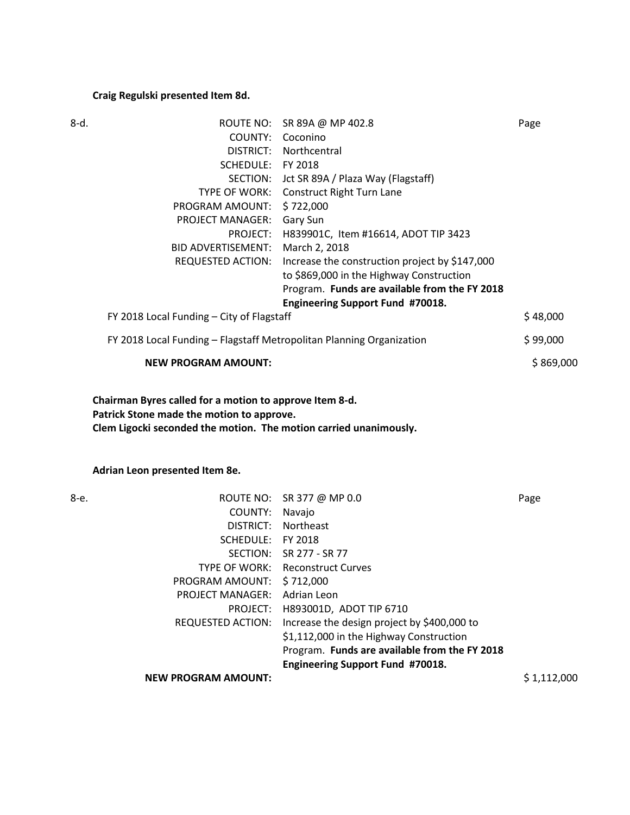# **Craig Regulski presented Item 8d.**

| 8-d. | COUNTY:<br>SCHEDULE: FY 2018<br>PROGRAM AMOUNT: \$722,000<br>PROJECT MANAGER: Gary Sun<br><b>BID ADVERTISEMENT:</b> | ROUTE NO: SR 89A @ MP 402.8<br>Coconino<br>DISTRICT: Northcentral<br>SECTION: Jct SR 89A / Plaza Way (Flagstaff)<br>TYPE OF WORK: Construct Right Turn Lane<br>PROJECT: H839901C, Item #16614, ADOT TIP 3423<br>March 2, 2018<br>REQUESTED ACTION: Increase the construction project by \$147,000<br>to \$869,000 in the Highway Construction<br>Program. Funds are available from the FY 2018 | Page        |
|------|---------------------------------------------------------------------------------------------------------------------|------------------------------------------------------------------------------------------------------------------------------------------------------------------------------------------------------------------------------------------------------------------------------------------------------------------------------------------------------------------------------------------------|-------------|
|      | <b>Engineering Support Fund #70018.</b><br>FY 2018 Local Funding - City of Flagstaff                                |                                                                                                                                                                                                                                                                                                                                                                                                | \$48,000    |
|      | FY 2018 Local Funding - Flagstaff Metropolitan Planning Organization                                                |                                                                                                                                                                                                                                                                                                                                                                                                | \$99,000    |
|      | <b>NEW PROGRAM AMOUNT:</b>                                                                                          |                                                                                                                                                                                                                                                                                                                                                                                                | \$869,000   |
|      | Chairman Byres called for a motion to approve Item 8-d.<br>Patrick Stone made the motion to approve.                |                                                                                                                                                                                                                                                                                                                                                                                                |             |
|      | Clem Ligocki seconded the motion. The motion carried unanimously.                                                   |                                                                                                                                                                                                                                                                                                                                                                                                |             |
|      | Adrian Leon presented Item 8e.                                                                                      |                                                                                                                                                                                                                                                                                                                                                                                                |             |
|      | COUNTY: Navajo                                                                                                      | ROUTE NO: SR 377 @ MP 0.0                                                                                                                                                                                                                                                                                                                                                                      | Page        |
| 8-е. |                                                                                                                     | DISTRICT: Northeast                                                                                                                                                                                                                                                                                                                                                                            |             |
|      | SCHEDULE: FY 2018                                                                                                   |                                                                                                                                                                                                                                                                                                                                                                                                |             |
|      |                                                                                                                     | SECTION: SR 277 - SR 77                                                                                                                                                                                                                                                                                                                                                                        |             |
|      |                                                                                                                     | TYPE OF WORK: Reconstruct Curves                                                                                                                                                                                                                                                                                                                                                               |             |
|      | PROGRAM AMOUNT:                                                                                                     | \$712,000                                                                                                                                                                                                                                                                                                                                                                                      |             |
|      | <b>PROJECT MANAGER:</b>                                                                                             | Adrian Leon                                                                                                                                                                                                                                                                                                                                                                                    |             |
|      | PROJECT:<br><b>REQUESTED ACTION:</b>                                                                                | H893001D, ADOT TIP 6710<br>Increase the design project by \$400,000 to<br>\$1,112,000 in the Highway Construction<br>Program. Funds are available from the FY 2018                                                                                                                                                                                                                             |             |
|      | <b>NEW PROGRAM AMOUNT:</b>                                                                                          | <b>Engineering Support Fund #70018.</b>                                                                                                                                                                                                                                                                                                                                                        | \$1,112,000 |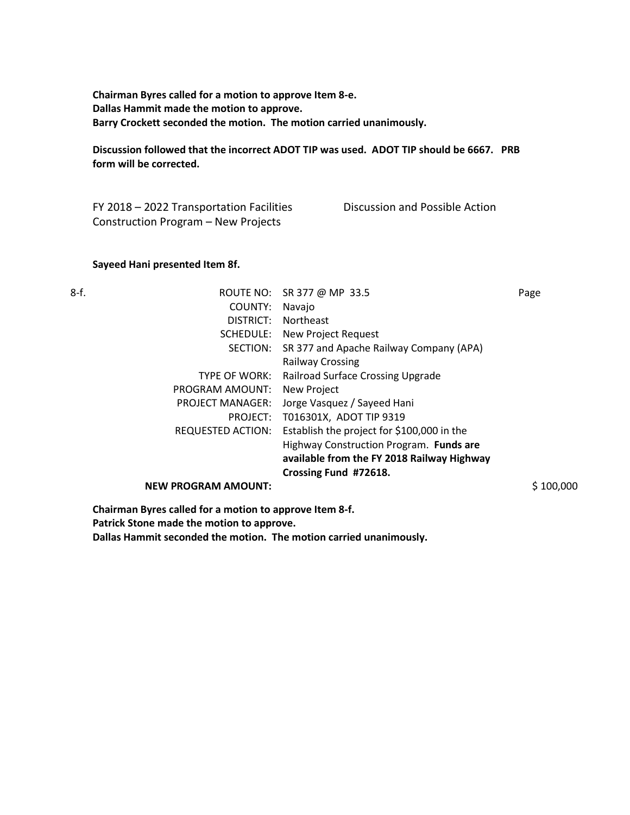**Chairman Byres called for a motion to approve Item 8-e. Dallas Hammit made the motion to approve. Barry Crockett seconded the motion. The motion carried unanimously.** 

**Discussion followed that the incorrect ADOT TIP was used. ADOT TIP should be 6667. PRB form will be corrected.** 

FY 2018 – 2022 Transportation Facilities Construction Program – New Projects Discussion and Possible Action

### **Sayeed Hani presented Item 8f.**

| ٠<br>I<br>×<br>۰. |  |
|-------------------|--|
|-------------------|--|

| 8-f. |                            | ROUTE NO: SR 377 @ MP 33.5                 | Page      |
|------|----------------------------|--------------------------------------------|-----------|
|      | COUNTY:                    | Navajo                                     |           |
|      | DISTRICT:                  | <b>Northeast</b>                           |           |
|      | SCHEDULE:                  | New Project Request                        |           |
|      | SECTION:                   | SR 377 and Apache Railway Company (APA)    |           |
|      |                            | <b>Railway Crossing</b>                    |           |
|      | TYPE OF WORK:              | Railroad Surface Crossing Upgrade          |           |
|      | PROGRAM AMOUNT:            | New Project                                |           |
|      | <b>PROJECT MANAGER:</b>    | Jorge Vasquez / Sayeed Hani                |           |
|      | PROJECT:                   | T016301X, ADOT TIP 9319                    |           |
|      | <b>REQUESTED ACTION:</b>   | Establish the project for \$100,000 in the |           |
|      |                            | Highway Construction Program. Funds are    |           |
|      |                            | available from the FY 2018 Railway Highway |           |
|      |                            | Crossing Fund #72618.                      |           |
|      | <b>NEW PROGRAM AMOUNT:</b> |                                            | \$100,000 |
|      |                            |                                            |           |

**Chairman Byres called for a motion to approve Item 8-f.** 

**Patrick Stone made the motion to approve.** 

**Dallas Hammit seconded the motion. The motion carried unanimously.**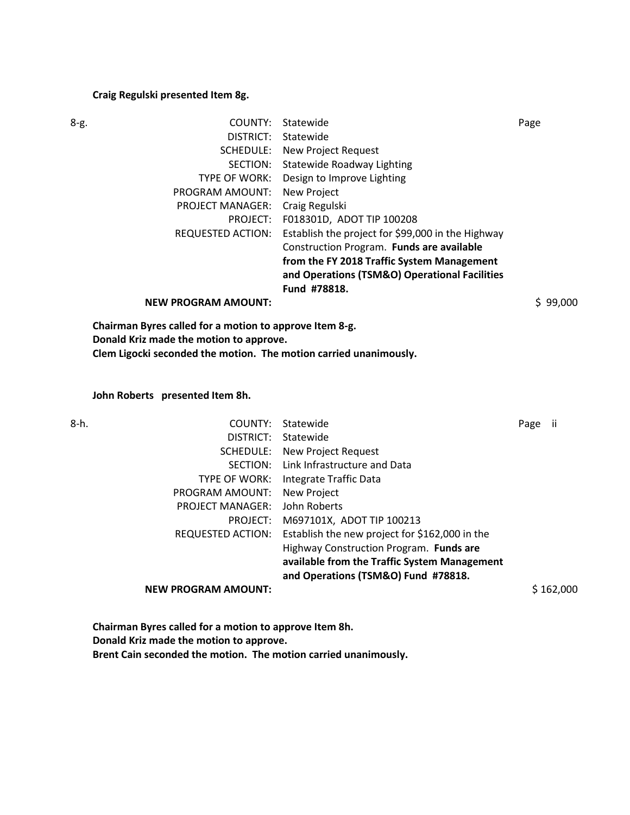### **Craig Regulski presented Item 8g.**

| 8-g. | COUNTY:                                                 | Statewide                                         | Page     |
|------|---------------------------------------------------------|---------------------------------------------------|----------|
|      | DISTRICT:                                               | Statewide                                         |          |
|      | SCHEDULE:                                               | New Project Request                               |          |
|      | SECTION:                                                | <b>Statewide Roadway Lighting</b>                 |          |
|      | <b>TYPE OF WORK:</b>                                    | Design to Improve Lighting                        |          |
|      | PROGRAM AMOUNT:                                         | <b>New Project</b>                                |          |
|      | <b>PROJECT MANAGER:</b>                                 | Craig Regulski                                    |          |
|      | PROJECT:                                                | F018301D, ADOT TIP 100208                         |          |
|      | <b>REQUESTED ACTION:</b>                                | Establish the project for \$99,000 in the Highway |          |
|      |                                                         | Construction Program. Funds are available         |          |
|      |                                                         | from the FY 2018 Traffic System Management        |          |
|      |                                                         | and Operations (TSM&O) Operational Facilities     |          |
|      |                                                         | Fund #78818.                                      |          |
|      | <b>NEW PROGRAM AMOUNT:</b>                              |                                                   | \$99,000 |
|      | Chairman Byres called for a motion to approve Item 8-g. |                                                   |          |

**Donald Kriz made the motion to approve.** 

**Clem Ligocki seconded the motion. The motion carried unanimously.** 

**John Roberts presented Item 8h.** 

| 8-h. | COUNTY:                    | Statewide                                      | Page | Ϊİ        |
|------|----------------------------|------------------------------------------------|------|-----------|
|      | DISTRICT:                  | Statewide                                      |      |           |
|      | SCHEDULE:                  | New Project Request                            |      |           |
|      | SECTION:                   | Link Infrastructure and Data                   |      |           |
|      | TYPE OF WORK:              | Integrate Traffic Data                         |      |           |
|      | PROGRAM AMOUNT:            | New Project                                    |      |           |
|      | <b>PROJECT MANAGER:</b>    | John Roberts                                   |      |           |
|      | PROJECT:                   | M697101X, ADOT TIP 100213                      |      |           |
|      | <b>REQUESTED ACTION:</b>   | Establish the new project for \$162,000 in the |      |           |
|      |                            | Highway Construction Program. Funds are        |      |           |
|      |                            | available from the Traffic System Management   |      |           |
|      |                            | and Operations (TSM&O) Fund #78818.            |      |           |
|      | <b>NEW PROGRAM AMOUNT:</b> |                                                |      | \$162,000 |
|      |                            |                                                |      |           |

**Chairman Byres called for a motion to approve Item 8h. Donald Kriz made the motion to approve. Brent Cain seconded the motion. The motion carried unanimously.**